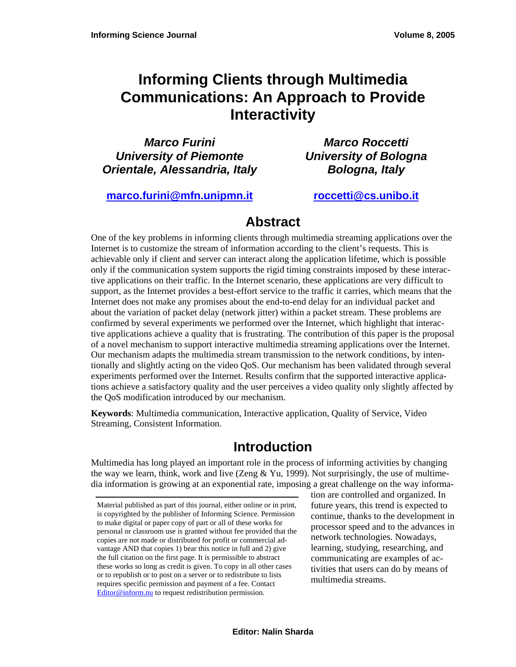# **Informing Clients through Multimedia Communications: An Approach to Provide Interactivity**

*Marco Furini University of Piemonte Orientale, Alessandria, Italy* 

*Marco Roccetti University of Bologna Bologna, Italy* 

**[marco.furini@mfn.unipmn.it](mailto:marco.furini@mfn.unipmn.it) [roccetti@cs.unibo.it](mailto:roccetti@cs.unibo.it)** 

## **Abstract**

One of the key problems in informing clients through multimedia streaming applications over the Internet is to customize the stream of information according to the client's requests. This is achievable only if client and server can interact along the application lifetime, which is possible only if the communication system supports the rigid timing constraints imposed by these interactive applications on their traffic. In the Internet scenario, these applications are very difficult to support, as the Internet provides a best-effort service to the traffic it carries, which means that the Internet does not make any promises about the end-to-end delay for an individual packet and about the variation of packet delay (network jitter) within a packet stream. These problems are confirmed by several experiments we performed over the Internet, which highlight that interactive applications achieve a quality that is frustrating. The contribution of this paper is the proposal of a novel mechanism to support interactive multimedia streaming applications over the Internet. Our mechanism adapts the multimedia stream transmission to the network conditions, by intentionally and slightly acting on the video QoS. Our mechanism has been validated through several experiments performed over the Internet. Results confirm that the supported interactive applications achieve a satisfactory quality and the user perceives a video quality only slightly affected by the QoS modification introduced by our mechanism.

**Keywords**: Multimedia communication, Interactive application, Quality of Service, Video Streaming, Consistent Information.

## **Introduction**

Multimedia has long played an important role in the process of informing activities by changing the way we learn, think, work and live (Zeng & Yu, 1999). Not surprisingly, the use of multimedia information is growing at an exponential rate, imposing a great challenge on the way informa-

tion are controlled and organized. In future years, this trend is expected to continue, thanks to the development in processor speed and to the advances in network technologies. Nowadays, learning, studying, researching, and communicating are examples of activities that users can do by means of multimedia streams.

Material published as part of this journal, either online or in print, is copyrighted by the publisher of Informing Science. Permission to make digital or paper copy of part or all of these works for personal or classroom use is granted without fee provided that the copies are not made or distributed for profit or commercial advantage AND that copies 1) bear this notice in full and 2) give the full citation on the first page. It is permissible to abstract these works so long as credit is given. To copy in all other cases or to republish or to post on a server or to redistribute to lists requires specific permission and payment of a fee. Contact [Editor@inform.nu](mailto:Editor@inform.nu) to request redistribution permission.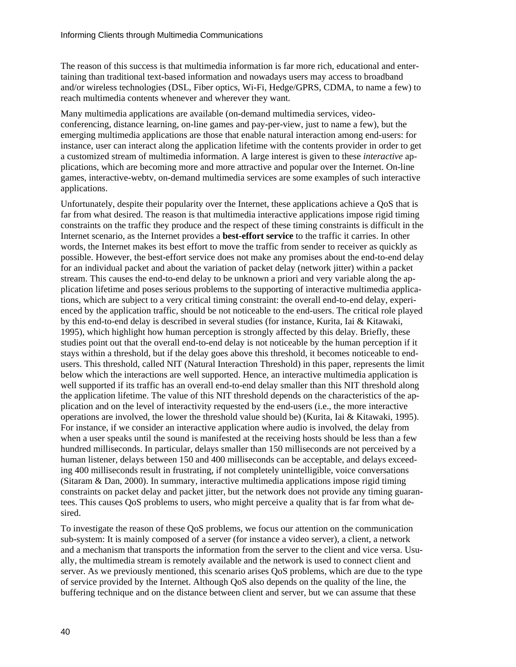The reason of this success is that multimedia information is far more rich, educational and entertaining than traditional text-based information and nowadays users may access to broadband and/or wireless technologies (DSL, Fiber optics, Wi-Fi, Hedge/GPRS, CDMA, to name a few) to reach multimedia contents whenever and wherever they want.

Many multimedia applications are available (on-demand multimedia services, videoconferencing, distance learning, on-line games and pay-per-view, just to name a few), but the emerging multimedia applications are those that enable natural interaction among end-users: for instance, user can interact along the application lifetime with the contents provider in order to get a customized stream of multimedia information. A large interest is given to these *interactive* applications, which are becoming more and more attractive and popular over the Internet. On-line games, interactive-webtv, on-demand multimedia services are some examples of such interactive applications.

Unfortunately, despite their popularity over the Internet, these applications achieve a QoS that is far from what desired. The reason is that multimedia interactive applications impose rigid timing constraints on the traffic they produce and the respect of these timing constraints is difficult in the Internet scenario, as the Internet provides a **best-effort service** to the traffic it carries. In other words, the Internet makes its best effort to move the traffic from sender to receiver as quickly as possible. However, the best-effort service does not make any promises about the end-to-end delay for an individual packet and about the variation of packet delay (network jitter) within a packet stream. This causes the end-to-end delay to be unknown a priori and very variable along the application lifetime and poses serious problems to the supporting of interactive multimedia applications, which are subject to a very critical timing constraint: the overall end-to-end delay, experienced by the application traffic, should be not noticeable to the end-users. The critical role played by this end-to-end delay is described in several studies (for instance, Kurita, Iai & Kitawaki, 1995), which highlight how human perception is strongly affected by this delay. Briefly, these studies point out that the overall end-to-end delay is not noticeable by the human perception if it stays within a threshold, but if the delay goes above this threshold, it becomes noticeable to endusers. This threshold, called NIT (Natural Interaction Threshold) in this paper, represents the limit below which the interactions are well supported. Hence, an interactive multimedia application is well supported if its traffic has an overall end-to-end delay smaller than this NIT threshold along the application lifetime. The value of this NIT threshold depends on the characteristics of the application and on the level of interactivity requested by the end-users (i.e., the more interactive operations are involved, the lower the threshold value should be) (Kurita, Iai & Kitawaki, 1995). For instance, if we consider an interactive application where audio is involved, the delay from when a user speaks until the sound is manifested at the receiving hosts should be less than a few hundred milliseconds. In particular, delays smaller than 150 milliseconds are not perceived by a human listener, delays between 150 and 400 milliseconds can be acceptable, and delays exceeding 400 milliseconds result in frustrating, if not completely unintelligible, voice conversations (Sitaram & Dan, 2000). In summary, interactive multimedia applications impose rigid timing constraints on packet delay and packet jitter, but the network does not provide any timing guarantees. This causes QoS problems to users, who might perceive a quality that is far from what desired.

To investigate the reason of these QoS problems, we focus our attention on the communication sub-system: It is mainly composed of a server (for instance a video server), a client, a network and a mechanism that transports the information from the server to the client and vice versa. Usually, the multimedia stream is remotely available and the network is used to connect client and server. As we previously mentioned, this scenario arises QoS problems, which are due to the type of service provided by the Internet. Although QoS also depends on the quality of the line, the buffering technique and on the distance between client and server, but we can assume that these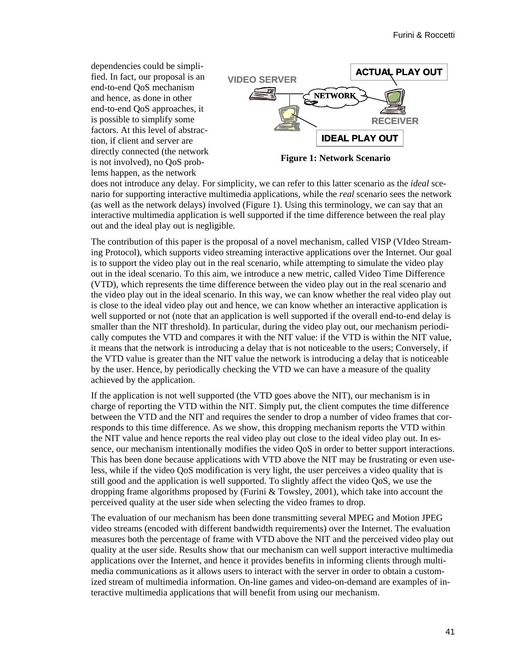dependencies could be simplified. In fact, our proposal is an end-to-end QoS mechanism and hence, as done in other end-to-end QoS approaches, it is possible to simplify some factors. At this level of abstraction, if client and server are directly connected (the network is not involved), no QoS problems happen, as the network



**Figure 1: Network Scenario** 

does not introduce any delay. For simplicity, we can refer to this latter scenario as the *ideal* scenario for supporting interactive multimedia applications, while the *real* scenario sees the network (as well as the network delays) involved (Figure 1). Using this terminology, we can say that an interactive multimedia application is well supported if the time difference between the real play out and the ideal play out is negligible.

The contribution of this paper is the proposal of a novel mechanism, called VISP (VIdeo Streaming Protocol), which supports video streaming interactive applications over the Internet. Our goal is to support the video play out in the real scenario, while attempting to simulate the video play out in the ideal scenario. To this aim, we introduce a new metric, called Video Time Difference (VTD), which represents the time difference between the video play out in the real scenario and the video play out in the ideal scenario. In this way, we can know whether the real video play out is close to the ideal video play out and hence, we can know whether an interactive application is well supported or not (note that an application is well supported if the overall end-to-end delay is smaller than the NIT threshold). In particular, during the video play out, our mechanism periodically computes the VTD and compares it with the NIT value: if the VTD is within the NIT value, it means that the network is introducing a delay that is not noticeable to the users; Conversely, if the VTD value is greater than the NIT value the network is introducing a delay that is noticeable by the user. Hence, by periodically checking the VTD we can have a measure of the quality achieved by the application.

If the application is not well supported (the VTD goes above the NIT), our mechanism is in charge of reporting the VTD within the NIT. Simply put, the client computes the time difference between the VTD and the NIT and requires the sender to drop a number of video frames that corresponds to this time difference. As we show, this dropping mechanism reports the VTD within the NIT value and hence reports the real video play out close to the ideal video play out. In essence, our mechanism intentionally modifies the video QoS in order to better support interactions. This has been done because applications with VTD above the NIT may be frustrating or even useless, while if the video QoS modification is very light, the user perceives a video quality that is still good and the application is well supported. To slightly affect the video QoS, we use the dropping frame algorithms proposed by (Furini & Towsley, 2001), which take into account the perceived quality at the user side when selecting the video frames to drop.

The evaluation of our mechanism has been done transmitting several MPEG and Motion JPEG video streams (encoded with different bandwidth requirements) over the Internet. The evaluation measures both the percentage of frame with VTD above the NIT and the perceived video play out quality at the user side. Results show that our mechanism can well support interactive multimedia applications over the Internet, and hence it provides benefits in informing clients through multimedia communications as it allows users to interact with the server in order to obtain a customized stream of multimedia information. On-line games and video-on-demand are examples of interactive multimedia applications that will benefit from using our mechanism.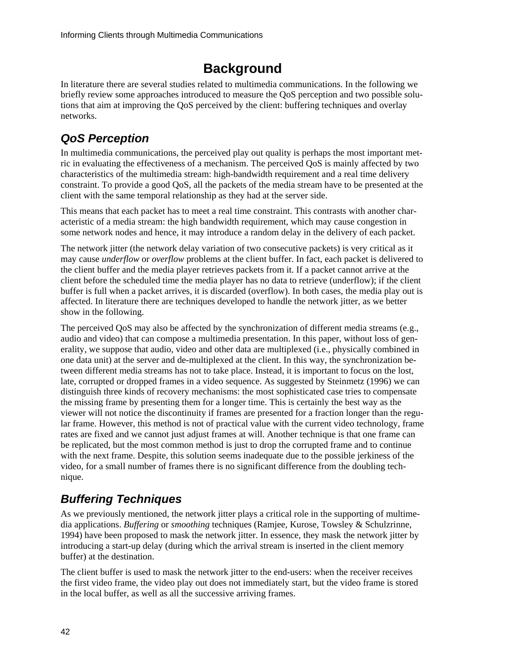# **Background**

In literature there are several studies related to multimedia communications. In the following we briefly review some approaches introduced to measure the QoS perception and two possible solutions that aim at improving the QoS perceived by the client: buffering techniques and overlay networks.

# *QoS Perception*

In multimedia communications, the perceived play out quality is perhaps the most important metric in evaluating the effectiveness of a mechanism. The perceived QoS is mainly affected by two characteristics of the multimedia stream: high-bandwidth requirement and a real time delivery constraint. To provide a good QoS, all the packets of the media stream have to be presented at the client with the same temporal relationship as they had at the server side.

This means that each packet has to meet a real time constraint. This contrasts with another characteristic of a media stream: the high bandwidth requirement, which may cause congestion in some network nodes and hence, it may introduce a random delay in the delivery of each packet.

The network jitter (the network delay variation of two consecutive packets) is very critical as it may cause *underflow* or *overflow* problems at the client buffer. In fact, each packet is delivered to the client buffer and the media player retrieves packets from it. If a packet cannot arrive at the client before the scheduled time the media player has no data to retrieve (underflow); if the client buffer is full when a packet arrives, it is discarded (overflow). In both cases, the media play out is affected. In literature there are techniques developed to handle the network jitter, as we better show in the following.

The perceived QoS may also be affected by the synchronization of different media streams (e.g., audio and video) that can compose a multimedia presentation. In this paper, without loss of generality, we suppose that audio, video and other data are multiplexed (i.e., physically combined in one data unit) at the server and de-multiplexed at the client. In this way, the synchronization between different media streams has not to take place. Instead, it is important to focus on the lost, late, corrupted or dropped frames in a video sequence. As suggested by Steinmetz (1996) we can distinguish three kinds of recovery mechanisms: the most sophisticated case tries to compensate the missing frame by presenting them for a longer time. This is certainly the best way as the viewer will not notice the discontinuity if frames are presented for a fraction longer than the regular frame. However, this method is not of practical value with the current video technology, frame rates are fixed and we cannot just adjust frames at will. Another technique is that one frame can be replicated, but the most common method is just to drop the corrupted frame and to continue with the next frame. Despite, this solution seems inadequate due to the possible jerkiness of the video, for a small number of frames there is no significant difference from the doubling technique.

# *Buffering Techniques*

As we previously mentioned, the network jitter plays a critical role in the supporting of multimedia applications. *Buffering* or *smoothing* techniques (Ramjee, Kurose, Towsley & Schulzrinne, 1994) have been proposed to mask the network jitter. In essence, they mask the network jitter by introducing a start-up delay (during which the arrival stream is inserted in the client memory buffer) at the destination.

The client buffer is used to mask the network jitter to the end-users: when the receiver receives the first video frame, the video play out does not immediately start, but the video frame is stored in the local buffer, as well as all the successive arriving frames.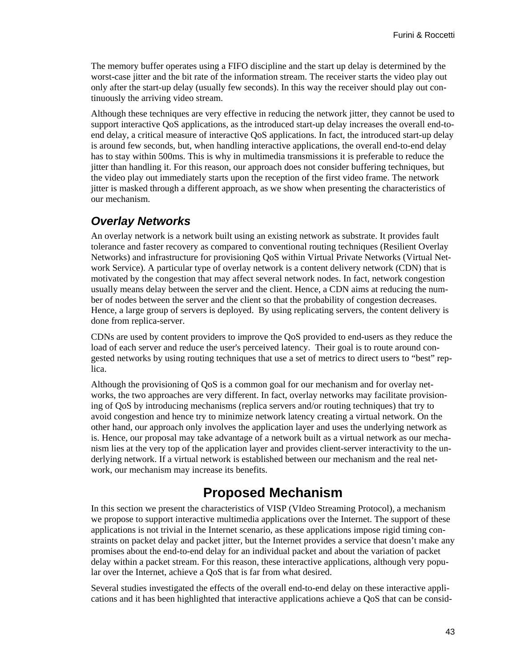The memory buffer operates using a FIFO discipline and the start up delay is determined by the worst-case jitter and the bit rate of the information stream. The receiver starts the video play out only after the start-up delay (usually few seconds). In this way the receiver should play out continuously the arriving video stream.

Although these techniques are very effective in reducing the network jitter, they cannot be used to support interactive QoS applications, as the introduced start-up delay increases the overall end-toend delay, a critical measure of interactive QoS applications. In fact, the introduced start-up delay is around few seconds, but, when handling interactive applications, the overall end-to-end delay has to stay within 500ms. This is why in multimedia transmissions it is preferable to reduce the jitter than handling it. For this reason, our approach does not consider buffering techniques, but the video play out immediately starts upon the reception of the first video frame. The network jitter is masked through a different approach, as we show when presenting the characteristics of our mechanism.

#### *Overlay Networks*

An overlay network is a network built using an existing network as substrate. It provides fault tolerance and faster recovery as compared to conventional routing techniques (Resilient Overlay Networks) and infrastructure for provisioning QoS within Virtual Private Networks (Virtual Network Service). A particular type of overlay network is a content delivery network (CDN) that is motivated by the congestion that may affect several network nodes. In fact, network congestion usually means delay between the server and the client. Hence, a CDN aims at reducing the number of nodes between the server and the client so that the probability of congestion decreases. Hence, a large group of servers is deployed. By using replicating servers, the content delivery is done from replica-server.

CDNs are used by content providers to improve the QoS provided to end-users as they reduce the load of each server and reduce the user's perceived latency. Their goal is to route around congested networks by using routing techniques that use a set of metrics to direct users to "best" replica.

Although the provisioning of QoS is a common goal for our mechanism and for overlay networks, the two approaches are very different. In fact, overlay networks may facilitate provisioning of QoS by introducing mechanisms (replica servers and/or routing techniques) that try to avoid congestion and hence try to minimize network latency creating a virtual network. On the other hand, our approach only involves the application layer and uses the underlying network as is. Hence, our proposal may take advantage of a network built as a virtual network as our mechanism lies at the very top of the application layer and provides client-server interactivity to the underlying network. If a virtual network is established between our mechanism and the real network, our mechanism may increase its benefits.

## **Proposed Mechanism**

In this section we present the characteristics of VISP (VIdeo Streaming Protocol), a mechanism we propose to support interactive multimedia applications over the Internet. The support of these applications is not trivial in the Internet scenario, as these applications impose rigid timing constraints on packet delay and packet jitter, but the Internet provides a service that doesn't make any promises about the end-to-end delay for an individual packet and about the variation of packet delay within a packet stream. For this reason, these interactive applications, although very popular over the Internet, achieve a QoS that is far from what desired.

Several studies investigated the effects of the overall end-to-end delay on these interactive applications and it has been highlighted that interactive applications achieve a QoS that can be consid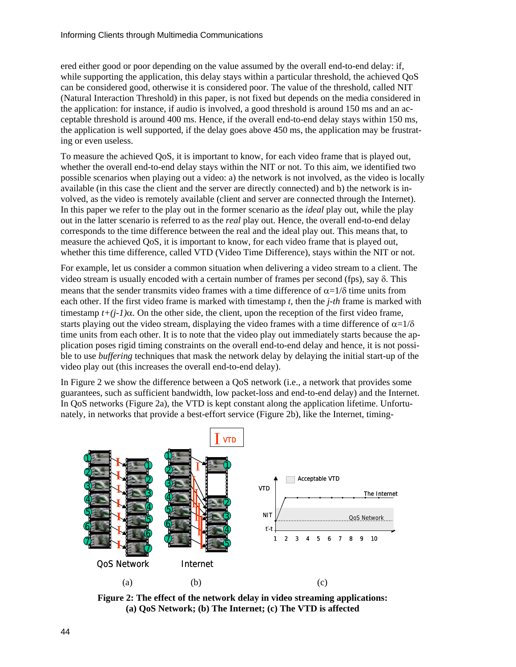ered either good or poor depending on the value assumed by the overall end-to-end delay: if, while supporting the application, this delay stays within a particular threshold, the achieved QoS can be considered good, otherwise it is considered poor. The value of the threshold, called NIT (Natural Interaction Threshold) in this paper, is not fixed but depends on the media considered in the application: for instance, if audio is involved, a good threshold is around 150 ms and an acceptable threshold is around 400 ms. Hence, if the overall end-to-end delay stays within 150 ms, the application is well supported, if the delay goes above 450 ms, the application may be frustrating or even useless.

To measure the achieved QoS, it is important to know, for each video frame that is played out, whether the overall end-to-end delay stays within the NIT or not. To this aim, we identified two possible scenarios when playing out a video: a) the network is not involved, as the video is locally available (in this case the client and the server are directly connected) and b) the network is involved, as the video is remotely available (client and server are connected through the Internet). In this paper we refer to the play out in the former scenario as the *ideal* play out, while the play out in the latter scenario is referred to as the *real* play out. Hence, the overall end-to-end delay corresponds to the time difference between the real and the ideal play out. This means that, to measure the achieved QoS, it is important to know, for each video frame that is played out, whether this time difference, called VTD (Video Time Difference), stays within the NIT or not.

For example, let us consider a common situation when delivering a video stream to a client. The video stream is usually encoded with a certain number of frames per second (fps), say δ. This means that the sender transmits video frames with a time difference of  $\alpha=1/\delta$  time units from each other. If the first video frame is marked with timestamp *t,* then the *j-th* frame is marked with timestamp  $t+(i-1)\alpha$ . On the other side, the client, upon the reception of the first video frame, starts playing out the video stream, displaying the video frames with a time difference of  $\alpha=1/\delta$ time units from each other. It is to note that the video play out immediately starts because the application poses rigid timing constraints on the overall end-to-end delay and hence, it is not possible to use *buffering* techniques that mask the network delay by delaying the initial start-up of the video play out (this increases the overall end-to-end delay).

In Figure 2 we show the difference between a QoS network (i.e., a network that provides some guarantees, such as sufficient bandwidth, low packet-loss and end-to-end delay) and the Internet. In QoS networks (Figure 2a), the VTD is kept constant along the application lifetime. Unfortunately, in networks that provide a best-effort service (Figure 2b), like the Internet, timing-



**Figure 2: The effect of the network delay in video streaming applications: (a) QoS Network; (b) The Internet; (c) The VTD is affected**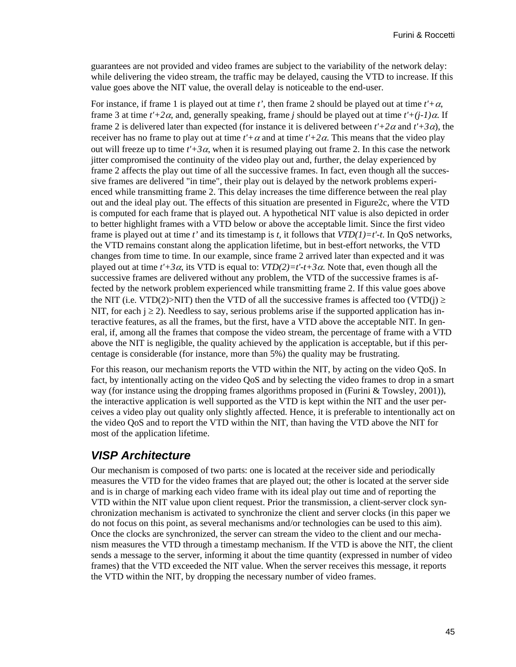guarantees are not provided and video frames are subject to the variability of the network delay: while delivering the video stream, the traffic may be delayed, causing the VTD to increase. If this value goes above the NIT value, the overall delay is noticeable to the end-user.

For instance, if frame 1 is played out at time *t'*, then frame 2 should be played out at time  $t' + \alpha$ , frame 3 at time  $t' + 2\alpha$ , and, generally speaking, frame *j* should be played out at time  $t' + (i-1)\alpha$ . If frame 2 is delivered later than expected (for instance it is delivered between  $t'+2\alpha$  and  $t'+3\alpha$ ), the receiver has no frame to play out at time  $t' + \alpha$  and at time  $t' + 2\alpha$ . This means that the video play out will freeze up to time  $t' + 3\alpha$ , when it is resumed playing out frame 2. In this case the network jitter compromised the continuity of the video play out and, further, the delay experienced by frame 2 affects the play out time of all the successive frames. In fact, even though all the successive frames are delivered "in time", their play out is delayed by the network problems experienced while transmitting frame 2. This delay increases the time difference between the real play out and the ideal play out. The effects of this situation are presented in Figure2c, where the VTD is computed for each frame that is played out. A hypothetical NIT value is also depicted in order to better highlight frames with a VTD below or above the acceptable limit. Since the first video frame is played out at time *t'* and its timestamp is *t,* it follows that *VTD(1)=t'-t*. In QoS networks, the VTD remains constant along the application lifetime, but in best-effort networks, the VTD changes from time to time. In our example, since frame 2 arrived later than expected and it was played out at time  $t' + 3\alpha$ , its VTD is equal to:  $VTD(2)=t'-t+3\alpha$ . Note that, even though all the successive frames are delivered without any problem, the VTD of the successive frames is affected by the network problem experienced while transmitting frame 2. If this value goes above the NIT (i.e. VTD(2)>NIT) then the VTD of all the successive frames is affected too (VTD(j)  $\ge$ NIT, for each  $i \ge 2$ ). Needless to say, serious problems arise if the supported application has interactive features, as all the frames, but the first, have a VTD above the acceptable NIT. In general, if, among all the frames that compose the video stream, the percentage of frame with a VTD above the NIT is negligible, the quality achieved by the application is acceptable, but if this percentage is considerable (for instance, more than 5%) the quality may be frustrating.

For this reason, our mechanism reports the VTD within the NIT, by acting on the video QoS. In fact, by intentionally acting on the video QoS and by selecting the video frames to drop in a smart way (for instance using the dropping frames algorithms proposed in (Furini & Towsley, 2001)), the interactive application is well supported as the VTD is kept within the NIT and the user perceives a video play out quality only slightly affected. Hence, it is preferable to intentionally act on the video QoS and to report the VTD within the NIT, than having the VTD above the NIT for most of the application lifetime.

### *VISP Architecture*

Our mechanism is composed of two parts: one is located at the receiver side and periodically measures the VTD for the video frames that are played out; the other is located at the server side and is in charge of marking each video frame with its ideal play out time and of reporting the VTD within the NIT value upon client request. Prior the transmission, a client-server clock synchronization mechanism is activated to synchronize the client and server clocks (in this paper we do not focus on this point, as several mechanisms and/or technologies can be used to this aim). Once the clocks are synchronized, the server can stream the video to the client and our mechanism measures the VTD through a timestamp mechanism. If the VTD is above the NIT, the client sends a message to the server, informing it about the time quantity (expressed in number of video frames) that the VTD exceeded the NIT value. When the server receives this message, it reports the VTD within the NIT, by dropping the necessary number of video frames.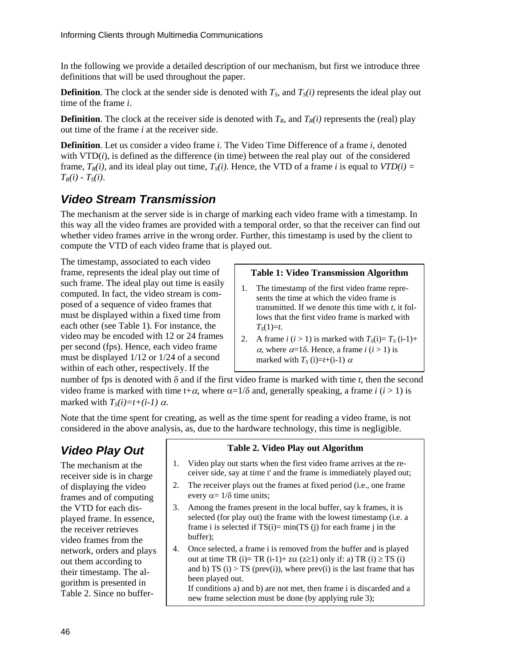In the following we provide a detailed description of our mechanism, but first we introduce three definitions that will be used throughout the paper.

**Definition**. The clock at the sender side is denoted with  $T_s$ , and  $T_s(i)$  represents the ideal play out time of the frame *i*.

**Definition**. The clock at the receiver side is denoted with  $T_R$ , and  $T_R(i)$  represents the (real) play out time of the frame *i* at the receiver side.

**Definition**. Let us consider a video frame *i*. The Video Time Difference of a frame *i*, denoted with  $VTD(i)$ , is defined as the difference (in time) between the real play out of the considered frame,  $T_R(i)$ , and its ideal play out time,  $T_S(i)$ . Hence, the VTD of a frame *i* is equal to  $VTD(i)$  =  $T_R(i) - T_S(i)$ .

### *Video Stream Transmission*

The mechanism at the server side is in charge of marking each video frame with a timestamp. In this way all the video frames are provided with a temporal order, so that the receiver can find out whether video frames arrive in the wrong order. Further, this timestamp is used by the client to compute the VTD of each video frame that is played out.

The timestamp, associated to each video frame, represents the ideal play out time of such frame. The ideal play out time is easily computed. In fact, the video stream is composed of a sequence of video frames that must be displayed within a fixed time from each other (see Table 1). For instance, the video may be encoded with 12 or 24 frames per second (fps). Hence, each video frame must be displayed 1/12 or 1/24 of a second within of each other, respectively. If the

#### **Table 1: Video Transmission Algorithm**

- 1. The timestamp of the first video frame represents the time at which the video frame is transmitted. If we denote this time with *t*, it follows that the first video frame is marked with  $T_s(1)=t$ .
- 2. A frame  $i$  ( $i > 1$ ) is marked with  $T<sub>S</sub>(i)=T<sub>S</sub>(i-1)+$ <sup>α</sup>, where α=1δ. Hence, a frame *i* (*i* > 1) is marked with  $T_S$  (i)=t+(i-1)  $\alpha$

number of fps is denoted with δ and if the first video frame is marked with time *t*, then the second video frame is marked with time t+ $\alpha$ , where  $\alpha = 1/\delta$  and, generally speaking, a frame *i* (*i* > 1) is marked with  $T_S(i)=t+(i-1)\alpha$ .

Note that the time spent for creating, as well as the time spent for reading a video frame, is not considered in the above analysis, as, due to the hardware technology, this time is negligible.

## *Video Play Out*

The mechanism at the receiver side is in charge of displaying the video frames and of computing the VTD for each displayed frame. In essence, the receiver retrieves video frames from the network, orders and plays out them according to their timestamp. The algorithm is presented in Table 2. Since no buffer-

#### **Table 2. Video Play out Algorithm**

- 1. Video play out starts when the first video frame arrives at the receiver side, say at time t' and the frame is immediately played out;
- 2. The receiver plays out the frames at fixed period (i.e., one frame every  $\alpha = 1/\delta$  time units;
- 3. Among the frames present in the local buffer, say k frames, it is selected (for play out) the frame with the lowest timestamp (i.e. a frame i is selected if  $TS(i) = min(TS(j))$  for each frame j in the buffer);
- 4. Once selected, a frame i is removed from the buffer and is played out at time TR (i)= TR (i-1)+ z $\alpha$  (z≥1) only if: a) TR (i) ≥ TS (i) and b) TS (i) > TS (prev(i)), where prev(i) is the last frame that has been played out. If conditions a) and b) are not met, then frame i is discarded and a new frame selection must be done (by applying rule 3);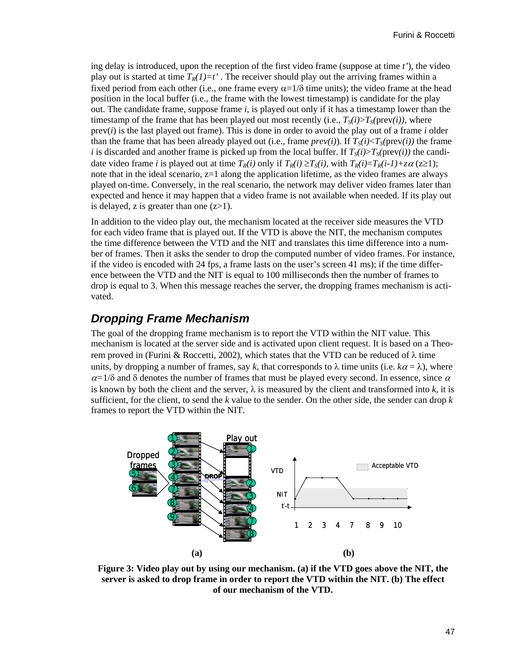ing delay is introduced, upon the reception of the first video frame (suppose at time *t'*), the video play out is started at time  $T_R(I)=t'$ . The receiver should play out the arriving frames within a fixed period from each other (i.e., one frame every  $\alpha = 1/\delta$  time units); the video frame at the head position in the local buffer (i.e., the frame with the lowest timestamp) is candidate for the play out. The candidate frame, suppose frame *i*, is played out only if it has a timestamp lower than the timestamp of the frame that has been played out most recently (i.e.,  $T_s(i) > T_s(prev(i))$ , where prev(*i*) is the last played out frame). This is done in order to avoid the play out of a frame *i* older than the frame that has been already played out (i.e., frame  $prev(i)$ ). If  $T_s(i) < T_s(prev(i))$  the frame *i* is discarded and another frame is picked up from the local buffer. If  $T<sub>S</sub>(i) > T<sub>S</sub>(prev(i))$  the candidate video frame *i* is played out at time  $T_R(i)$  only if  $T_R(i) \geq T_S(i)$ , with  $T_R(i)=T_R(i-1)+z\alpha$  ( $z\geq 1$ ); note that in the ideal scenario,  $z=1$  along the application lifetime, as the video frames are always played on-time. Conversely, in the real scenario, the network may deliver video frames later than expected and hence it may happen that a video frame is not available when needed. If its play out is delayed, z is greater than one  $(z>1)$ .

In addition to the video play out, the mechanism located at the receiver side measures the VTD for each video frame that is played out. If the VTD is above the NIT, the mechanism computes the time difference between the VTD and the NIT and translates this time difference into a number of frames. Then it asks the sender to drop the computed number of video frames. For instance, if the video is encoded with 24 fps, a frame lasts on the user's screen 41 ms); if the time difference between the VTD and the NIT is equal to 100 milliseconds then the number of frames to drop is equal to 3. When this message reaches the server, the dropping frames mechanism is activated.

### *Dropping Frame Mechanism*

The goal of the dropping frame mechanism is to report the VTD within the NIT value. This mechanism is located at the server side and is activated upon client request. It is based on a Theorem proved in (Furini & Roccetti, 2002), which states that the VTD can be reduced of  $λ$  time units, by dropping a number of frames, say k, that corresponds to  $\lambda$  time units (i.e.  $k\alpha = \lambda$ ), where  $\alpha$ =1/δ and δ denotes the number of frames that must be played every second. In essence, since  $\alpha$ is known by both the client and the server,  $\lambda$  is measured by the client and transformed into  $k$ , it is sufficient, for the client, to send the *k* value to the sender. On the other side, the sender can drop *k*  frames to report the VTD within the NIT.



**Figure 3: Video play out by using our mechanism. (a) if the VTD goes above the NIT, the server is asked to drop frame in order to report the VTD within the NIT. (b) The effect of our mechanism of the VTD.**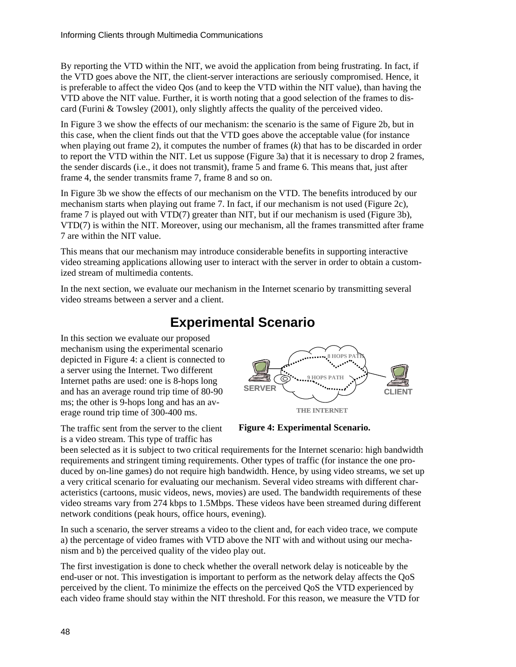By reporting the VTD within the NIT, we avoid the application from being frustrating. In fact, if the VTD goes above the NIT, the client-server interactions are seriously compromised. Hence, it is preferable to affect the video Qos (and to keep the VTD within the NIT value), than having the VTD above the NIT value. Further, it is worth noting that a good selection of the frames to discard (Furini & Towsley (2001), only slightly affects the quality of the perceived video.

In Figure 3 we show the effects of our mechanism: the scenario is the same of Figure 2b, but in this case, when the client finds out that the VTD goes above the acceptable value (for instance when playing out frame 2), it computes the number of frames (*k*) that has to be discarded in order to report the VTD within the NIT. Let us suppose (Figure 3a) that it is necessary to drop 2 frames, the sender discards (i.e., it does not transmit), frame 5 and frame 6. This means that, just after frame 4, the sender transmits frame 7, frame 8 and so on.

In Figure 3b we show the effects of our mechanism on the VTD. The benefits introduced by our mechanism starts when playing out frame 7. In fact, if our mechanism is not used (Figure 2c), frame 7 is played out with VTD(7) greater than NIT, but if our mechanism is used (Figure 3b), VTD(7) is within the NIT. Moreover, using our mechanism, all the frames transmitted after frame 7 are within the NIT value.

This means that our mechanism may introduce considerable benefits in supporting interactive video streaming applications allowing user to interact with the server in order to obtain a customized stream of multimedia contents.

In the next section, we evaluate our mechanism in the Internet scenario by transmitting several video streams between a server and a client.

# **Experimental Scenario**

In this section we evaluate our proposed mechanism using the experimental scenario depicted in Figure 4: a client is connected to a server using the Internet. Two different Internet paths are used: one is 8-hops long and has an average round trip time of 80-90 ms; the other is 9-hops long and has an average round trip time of 300-400 ms.

The traffic sent from the server to the client is a video stream. This type of traffic has



**Figure 4: Experimental Scenario.** 

been selected as it is subject to two critical requirements for the Internet scenario: high bandwidth requirements and stringent timing requirements. Other types of traffic (for instance the one produced by on-line games) do not require high bandwidth. Hence, by using video streams, we set up a very critical scenario for evaluating our mechanism. Several video streams with different characteristics (cartoons, music videos, news, movies) are used. The bandwidth requirements of these video streams vary from 274 kbps to 1.5Mbps. These videos have been streamed during different network conditions (peak hours, office hours, evening).

In such a scenario, the server streams a video to the client and, for each video trace, we compute a) the percentage of video frames with VTD above the NIT with and without using our mechanism and b) the perceived quality of the video play out.

The first investigation is done to check whether the overall network delay is noticeable by the end-user or not. This investigation is important to perform as the network delay affects the QoS perceived by the client. To minimize the effects on the perceived QoS the VTD experienced by each video frame should stay within the NIT threshold. For this reason, we measure the VTD for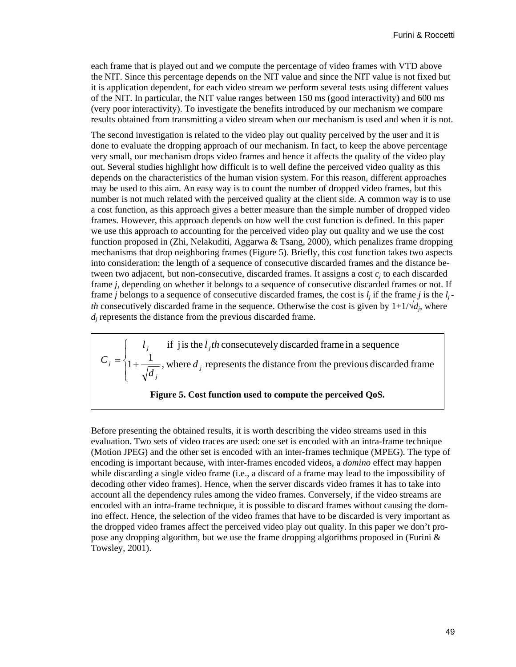each frame that is played out and we compute the percentage of video frames with VTD above the NIT. Since this percentage depends on the NIT value and since the NIT value is not fixed but it is application dependent, for each video stream we perform several tests using different values of the NIT. In particular, the NIT value ranges between 150 ms (good interactivity) and 600 ms (very poor interactivity). To investigate the benefits introduced by our mechanism we compare results obtained from transmitting a video stream when our mechanism is used and when it is not.

The second investigation is related to the video play out quality perceived by the user and it is done to evaluate the dropping approach of our mechanism. In fact, to keep the above percentage very small, our mechanism drops video frames and hence it affects the quality of the video play out. Several studies highlight how difficult is to well define the perceived video quality as this depends on the characteristics of the human vision system. For this reason, different approaches may be used to this aim. An easy way is to count the number of dropped video frames, but this number is not much related with the perceived quality at the client side. A common way is to use a cost function, as this approach gives a better measure than the simple number of dropped video frames. However, this approach depends on how well the cost function is defined. In this paper we use this approach to accounting for the perceived video play out quality and we use the cost function proposed in (Zhi, Nelakuditi, Aggarwa & Tsang, 2000), which penalizes frame dropping mechanisms that drop neighboring frames (Figure 5). Briefly, this cost function takes two aspects into consideration: the length of a sequence of consecutive discarded frames and the distance between two adjacent, but non-consecutive, discarded frames. It assigns a cost  $c_i$  to each discarded frame *j*, depending on whether it belongs to a sequence of consecutive discarded frames or not. If frame *j* belongs to a sequence of consecutive discarded frames, the cost is  $l_i$  if the frame *j* is the  $l_i$ *th* consecutively discarded frame in the sequence. Otherwise the cost is given by  $1+1/\sqrt{d_i}$ , where *dj* represents the distance from the previous discarded frame.

 $\overline{\mathcal{L}}$  $\overline{a}$ ⎨  $\sqrt{2}$  $=\left\{1+\frac{1}{\sqrt{1}}\right\}$ , where  $d_j$  represents the distance from the previous discarded frame  $l_j$  if j is the  $l_j$ th consecutevely discarded frame in a sequence *j*  $\hat{a} = \{1 + \frac{1}{\sqrt{a}}\}$ , where d *d C* **Figure 5. Cost function used to compute the perceived QoS.** 

Before presenting the obtained results, it is worth describing the video streams used in this evaluation. Two sets of video traces are used: one set is encoded with an intra-frame technique (Motion JPEG) and the other set is encoded with an inter-frames technique (MPEG). The type of encoding is important because, with inter-frames encoded videos, a *domino* effect may happen while discarding a single video frame (i.e., a discard of a frame may lead to the impossibility of decoding other video frames). Hence, when the server discards video frames it has to take into account all the dependency rules among the video frames. Conversely, if the video streams are encoded with an intra-frame technique, it is possible to discard frames without causing the domino effect. Hence, the selection of the video frames that have to be discarded is very important as the dropped video frames affect the perceived video play out quality. In this paper we don't propose any dropping algorithm, but we use the frame dropping algorithms proposed in (Furini & Towsley, 2001).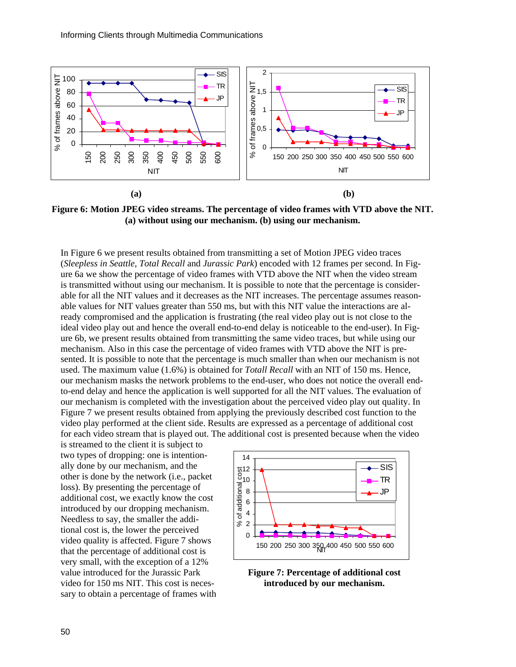

**Figure 6: Motion JPEG video streams. The percentage of video frames with VTD above the NIT. (a) without using our mechanism. (b) using our mechanism.** 

In Figure 6 we present results obtained from transmitting a set of Motion JPEG video traces (*Sleepless in Seattle*, *Total Recall* and *Jurassic Park*) encoded with 12 frames per second. In Figure 6a we show the percentage of video frames with VTD above the NIT when the video stream is transmitted without using our mechanism. It is possible to note that the percentage is considerable for all the NIT values and it decreases as the NIT increases. The percentage assumes reasonable values for NIT values greater than 550 ms, but with this NIT value the interactions are already compromised and the application is frustrating (the real video play out is not close to the ideal video play out and hence the overall end-to-end delay is noticeable to the end-user). In Figure 6b, we present results obtained from transmitting the same video traces, but while using our mechanism. Also in this case the percentage of video frames with VTD above the NIT is presented. It is possible to note that the percentage is much smaller than when our mechanism is not used. The maximum value (1.6%) is obtained for *Totall Recall* with an NIT of 150 ms. Hence, our mechanism masks the network problems to the end-user, who does not notice the overall endto-end delay and hence the application is well supported for all the NIT values. The evaluation of our mechanism is completed with the investigation about the perceived video play out quality. In Figure 7 we present results obtained from applying the previously described cost function to the video play performed at the client side. Results are expressed as a percentage of additional cost for each video stream that is played out. The additional cost is presented because when the video

is streamed to the client it is subject to two types of dropping: one is intentionally done by our mechanism, and the other is done by the network (i.e., packet loss). By presenting the percentage of additional cost, we exactly know the cost introduced by our dropping mechanism. Needless to say, the smaller the additional cost is, the lower the perceived video quality is affected. Figure 7 shows that the percentage of additional cost is very small, with the exception of a 12% value introduced for the Jurassic Park video for 150 ms NIT. This cost is necessary to obtain a percentage of frames with



**Figure 7: Percentage of additional cost introduced by our mechanism.**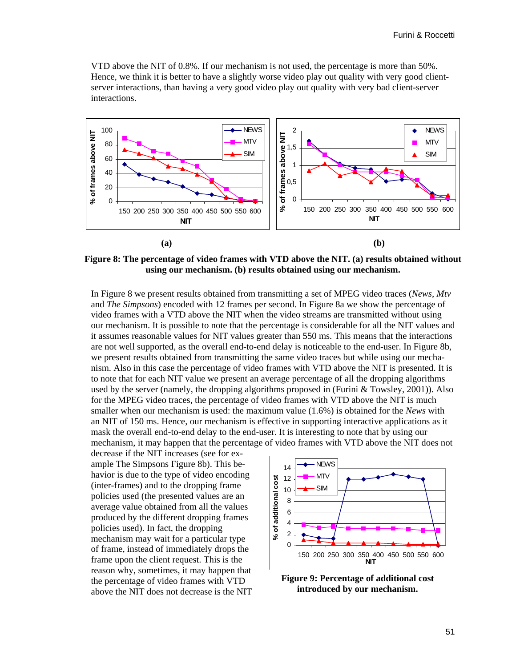VTD above the NIT of 0.8%. If our mechanism is not used, the percentage is more than 50%. Hence, we think it is better to have a slightly worse video play out quality with very good clientserver interactions, than having a very good video play out quality with very bad client-server interactions.



**Figure 8: The percentage of video frames with VTD above the NIT. (a) results obtained without using our mechanism. (b) results obtained using our mechanism.** 

In Figure 8 we present results obtained from transmitting a set of MPEG video traces (*News*, *Mtv* and *The Simpsons*) encoded with 12 frames per second. In Figure 8a we show the percentage of video frames with a VTD above the NIT when the video streams are transmitted without using our mechanism. It is possible to note that the percentage is considerable for all the NIT values and it assumes reasonable values for NIT values greater than 550 ms. This means that the interactions are not well supported, as the overall end-to-end delay is noticeable to the end-user. In Figure 8b, we present results obtained from transmitting the same video traces but while using our mechanism. Also in this case the percentage of video frames with VTD above the NIT is presented. It is to note that for each NIT value we present an average percentage of all the dropping algorithms used by the server (namely, the dropping algorithms proposed in (Furini & Towsley, 2001)). Also for the MPEG video traces, the percentage of video frames with VTD above the NIT is much smaller when our mechanism is used: the maximum value (1.6%) is obtained for the *News* with an NIT of 150 ms. Hence, our mechanism is effective in supporting interactive applications as it mask the overall end-to-end delay to the end-user. It is interesting to note that by using our mechanism, it may happen that the percentage of video frames with VTD above the NIT does not

decrease if the NIT increases (see for example The Simpsons Figure 8b). This behavior is due to the type of video encoding (inter-frames) and to the dropping frame policies used (the presented values are an average value obtained from all the values produced by the different dropping frames policies used). In fact, the dropping mechanism may wait for a particular type of frame, instead of immediately drops the frame upon the client request. This is the reason why, sometimes, it may happen that the percentage of video frames with VTD above the NIT does not decrease is the NIT



**Figure 9: Percentage of additional cost introduced by our mechanism.**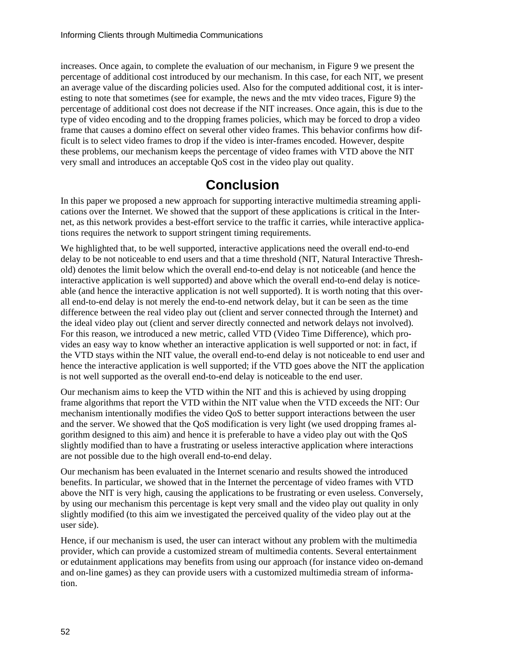increases. Once again, to complete the evaluation of our mechanism, in Figure 9 we present the percentage of additional cost introduced by our mechanism. In this case, for each NIT, we present an average value of the discarding policies used. Also for the computed additional cost, it is interesting to note that sometimes (see for example, the news and the mtv video traces, Figure 9) the percentage of additional cost does not decrease if the NIT increases. Once again, this is due to the type of video encoding and to the dropping frames policies, which may be forced to drop a video frame that causes a domino effect on several other video frames. This behavior confirms how difficult is to select video frames to drop if the video is inter-frames encoded. However, despite these problems, our mechanism keeps the percentage of video frames with VTD above the NIT very small and introduces an acceptable QoS cost in the video play out quality.

## **Conclusion**

In this paper we proposed a new approach for supporting interactive multimedia streaming applications over the Internet. We showed that the support of these applications is critical in the Internet, as this network provides a best-effort service to the traffic it carries, while interactive applications requires the network to support stringent timing requirements.

We highlighted that, to be well supported, interactive applications need the overall end-to-end delay to be not noticeable to end users and that a time threshold (NIT, Natural Interactive Threshold) denotes the limit below which the overall end-to-end delay is not noticeable (and hence the interactive application is well supported) and above which the overall end-to-end delay is noticeable (and hence the interactive application is not well supported). It is worth noting that this overall end-to-end delay is not merely the end-to-end network delay, but it can be seen as the time difference between the real video play out (client and server connected through the Internet) and the ideal video play out (client and server directly connected and network delays not involved). For this reason, we introduced a new metric, called VTD (Video Time Difference), which provides an easy way to know whether an interactive application is well supported or not: in fact, if the VTD stays within the NIT value, the overall end-to-end delay is not noticeable to end user and hence the interactive application is well supported; if the VTD goes above the NIT the application is not well supported as the overall end-to-end delay is noticeable to the end user.

Our mechanism aims to keep the VTD within the NIT and this is achieved by using dropping frame algorithms that report the VTD within the NIT value when the VTD exceeds the NIT: Our mechanism intentionally modifies the video QoS to better support interactions between the user and the server. We showed that the QoS modification is very light (we used dropping frames algorithm designed to this aim) and hence it is preferable to have a video play out with the QoS slightly modified than to have a frustrating or useless interactive application where interactions are not possible due to the high overall end-to-end delay.

Our mechanism has been evaluated in the Internet scenario and results showed the introduced benefits. In particular, we showed that in the Internet the percentage of video frames with VTD above the NIT is very high, causing the applications to be frustrating or even useless. Conversely, by using our mechanism this percentage is kept very small and the video play out quality in only slightly modified (to this aim we investigated the perceived quality of the video play out at the user side).

Hence, if our mechanism is used, the user can interact without any problem with the multimedia provider, which can provide a customized stream of multimedia contents. Several entertainment or edutainment applications may benefits from using our approach (for instance video on-demand and on-line games) as they can provide users with a customized multimedia stream of information.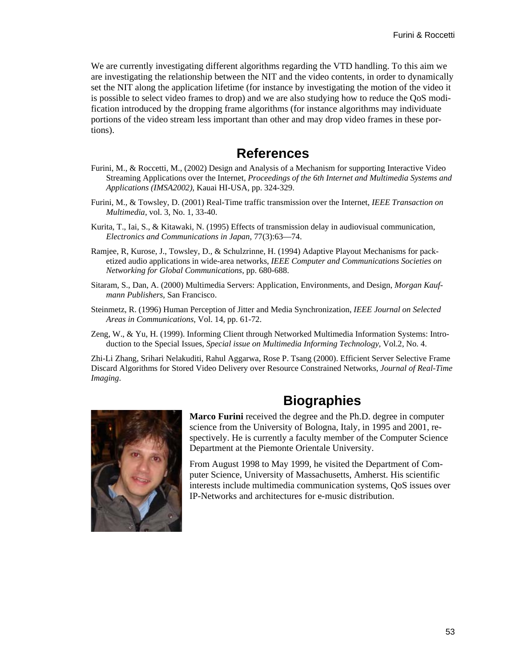We are currently investigating different algorithms regarding the VTD handling. To this aim we are investigating the relationship between the NIT and the video contents, in order to dynamically set the NIT along the application lifetime (for instance by investigating the motion of the video it is possible to select video frames to drop) and we are also studying how to reduce the QoS modification introduced by the dropping frame algorithms (for instance algorithms may individuate portions of the video stream less important than other and may drop video frames in these portions).

## **References**

- Furini, M., & Roccetti, M., (2002) Design and Analysis of a Mechanism for supporting Interactive Video Streaming Applications over the Internet, *Proceedings of the 6th Internet and Multimedia Systems and Applications (IMSA2002)*, Kauai HI-USA, pp. 324-329.
- Furini, M., & Towsley, D. (2001) Real-Time traffic transmission over the Internet, *IEEE Transaction on Multimedia*, vol. 3, No. 1, 33-40.
- Kurita, T., Iai, S., & Kitawaki, N. (1995) Effects of transmission delay in audiovisual communication, *Electronics and Communications in Japan*, 77(3):63—74.
- Ramjee, R, Kurose, J., Towsley, D., & Schulzrinne, H. (1994) Adaptive Playout Mechanisms for packetized audio applications in wide-area networks, *IEEE Computer and Communications Societies on Networking for Global Communications*, pp. 680-688.
- Sitaram, S., Dan, A. (2000) Multimedia Servers: Application, Environments, and Design, *Morgan Kaufmann Publishers*, San Francisco.
- Steinmetz, R. (1996) Human Perception of Jitter and Media Synchronization, *IEEE Journal on Selected Areas in Communications*, Vol. 14, pp. 61-72.
- Zeng, W., & Yu, H. (1999). Informing Client through Networked Multimedia Information Systems: Introduction to the Special Issues, *Special issue on Multimedia Informing Technology*, Vol.2, No. 4.

Zhi-Li Zhang, Srihari Nelakuditi, Rahul Aggarwa, Rose P. Tsang (2000). Efficient Server Selective Frame Discard Algorithms for Stored Video Delivery over Resource Constrained Networks, *Journal of Real-Time Imaging*.



# **Biographies**

**Marco Furini** received the degree and the Ph.D. degree in computer science from the University of Bologna, Italy, in 1995 and 2001, respectively. He is currently a faculty member of the Computer Science Department at the Piemonte Orientale University.

From August 1998 to May 1999, he visited the Department of Computer Science, University of Massachusetts, Amherst. His scientific interests include multimedia communication systems, QoS issues over IP-Networks and architectures for e-music distribution.